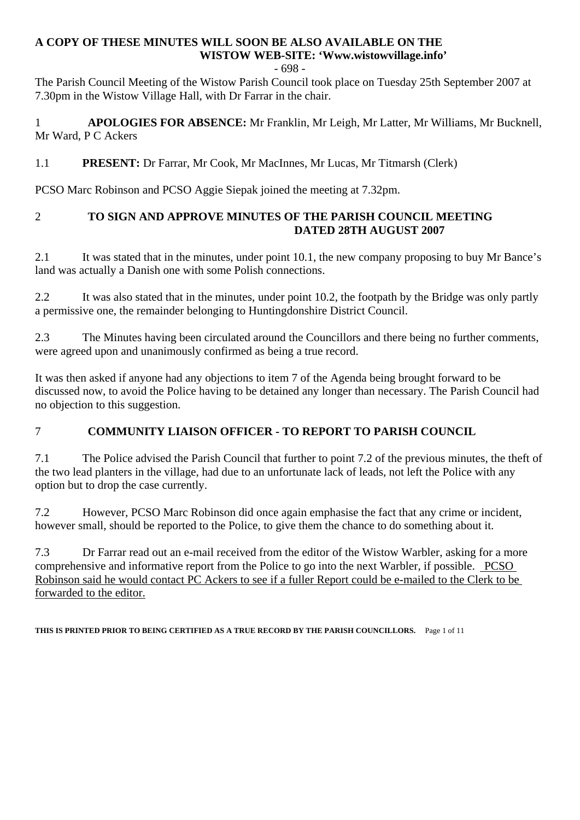#### **A COPY OF THESE MINUTES WILL SOON BE ALSO AVAILABLE ON THE WISTOW WEB-SITE: 'Www.wistowvillage.info'**

- 698 -

The Parish Council Meeting of the Wistow Parish Council took place on Tuesday 25th September 2007 at 7.30pm in the Wistow Village Hall, with Dr Farrar in the chair.

1 **APOLOGIES FOR ABSENCE:** Mr Franklin, Mr Leigh, Mr Latter, Mr Williams, Mr Bucknell, Mr Ward, P C Ackers

# 1.1 **PRESENT:** Dr Farrar, Mr Cook, Mr MacInnes, Mr Lucas, Mr Titmarsh (Clerk)

PCSO Marc Robinson and PCSO Aggie Siepak joined the meeting at 7.32pm.

## 2 **TO SIGN AND APPROVE MINUTES OF THE PARISH COUNCIL MEETING DATED 28TH AUGUST 2007**

2.1 It was stated that in the minutes, under point 10.1, the new company proposing to buy Mr Bance's land was actually a Danish one with some Polish connections.

2.2 It was also stated that in the minutes, under point 10.2, the footpath by the Bridge was only partly a permissive one, the remainder belonging to Huntingdonshire District Council.

2.3 The Minutes having been circulated around the Councillors and there being no further comments, were agreed upon and unanimously confirmed as being a true record.

It was then asked if anyone had any objections to item 7 of the Agenda being brought forward to be discussed now, to avoid the Police having to be detained any longer than necessary. The Parish Council had no objection to this suggestion.

# 7 **COMMUNITY LIAISON OFFICER - TO REPORT TO PARISH COUNCIL**

7.1 The Police advised the Parish Council that further to point 7.2 of the previous minutes, the theft of the two lead planters in the village, had due to an unfortunate lack of leads, not left the Police with any option but to drop the case currently.

7.2 However, PCSO Marc Robinson did once again emphasise the fact that any crime or incident, however small, should be reported to the Police, to give them the chance to do something about it.

7.3 Dr Farrar read out an e-mail received from the editor of the Wistow Warbler, asking for a more comprehensive and informative report from the Police to go into the next Warbler, if possible. PCSO Robinson said he would contact PC Ackers to see if a fuller Report could be e-mailed to the Clerk to be forwarded to the editor.

**THIS IS PRINTED PRIOR TO BEING CERTIFIED AS A TRUE RECORD BY THE PARISH COUNCILLORS.** Page 1 of 11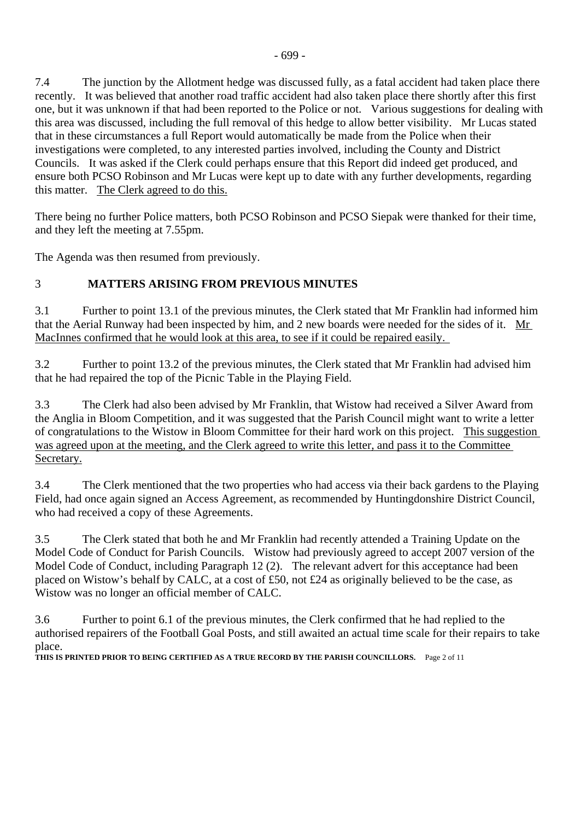7.4 The junction by the Allotment hedge was discussed fully, as a fatal accident had taken place there recently. It was believed that another road traffic accident had also taken place there shortly after this first one, but it was unknown if that had been reported to the Police or not. Various suggestions for dealing with this area was discussed, including the full removal of this hedge to allow better visibility. Mr Lucas stated that in these circumstances a full Report would automatically be made from the Police when their investigations were completed, to any interested parties involved, including the County and District Councils. It was asked if the Clerk could perhaps ensure that this Report did indeed get produced, and ensure both PCSO Robinson and Mr Lucas were kept up to date with any further developments, regarding this matter. The Clerk agreed to do this.

There being no further Police matters, both PCSO Robinson and PCSO Siepak were thanked for their time, and they left the meeting at 7.55pm.

The Agenda was then resumed from previously.

# 3 **MATTERS ARISING FROM PREVIOUS MINUTES**

3.1 Further to point 13.1 of the previous minutes, the Clerk stated that Mr Franklin had informed him that the Aerial Runway had been inspected by him, and 2 new boards were needed for the sides of it. Mr MacInnes confirmed that he would look at this area, to see if it could be repaired easily.

3.2 Further to point 13.2 of the previous minutes, the Clerk stated that Mr Franklin had advised him that he had repaired the top of the Picnic Table in the Playing Field.

3.3 The Clerk had also been advised by Mr Franklin, that Wistow had received a Silver Award from the Anglia in Bloom Competition, and it was suggested that the Parish Council might want to write a letter of congratulations to the Wistow in Bloom Committee for their hard work on this project. This suggestion was agreed upon at the meeting, and the Clerk agreed to write this letter, and pass it to the Committee Secretary.

3.4 The Clerk mentioned that the two properties who had access via their back gardens to the Playing Field, had once again signed an Access Agreement, as recommended by Huntingdonshire District Council, who had received a copy of these Agreements.

3.5 The Clerk stated that both he and Mr Franklin had recently attended a Training Update on the Model Code of Conduct for Parish Councils. Wistow had previously agreed to accept 2007 version of the Model Code of Conduct, including Paragraph 12 (2). The relevant advert for this acceptance had been placed on Wistow's behalf by CALC, at a cost of £50, not £24 as originally believed to be the case, as Wistow was no longer an official member of CALC.

3.6 Further to point 6.1 of the previous minutes, the Clerk confirmed that he had replied to the authorised repairers of the Football Goal Posts, and still awaited an actual time scale for their repairs to take place.

**THIS IS PRINTED PRIOR TO BEING CERTIFIED AS A TRUE RECORD BY THE PARISH COUNCILLORS.** Page 2 of 11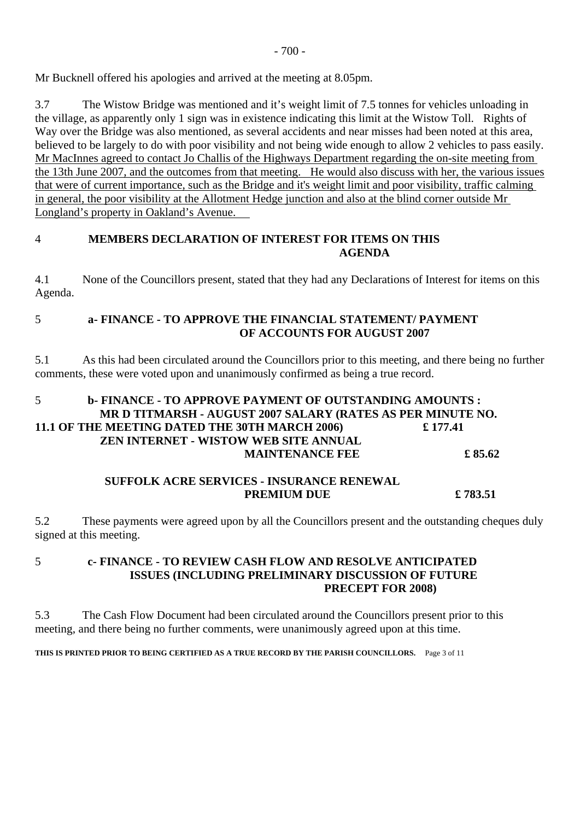$-700-$ 

Mr Bucknell offered his apologies and arrived at the meeting at 8.05pm.

3.7 The Wistow Bridge was mentioned and it's weight limit of 7.5 tonnes for vehicles unloading in the village, as apparently only 1 sign was in existence indicating this limit at the Wistow Toll. Rights of Way over the Bridge was also mentioned, as several accidents and near misses had been noted at this area, believed to be largely to do with poor visibility and not being wide enough to allow 2 vehicles to pass easily. Mr MacInnes agreed to contact Jo Challis of the Highways Department regarding the on-site meeting from the 13th June 2007, and the outcomes from that meeting. He would also discuss with her, the various issues that were of current importance, such as the Bridge and it's weight limit and poor visibility, traffic calming in general, the poor visibility at the Allotment Hedge junction and also at the blind corner outside Mr Longland's property in Oakland's Avenue.

#### 4 **MEMBERS DECLARATION OF INTEREST FOR ITEMS ON THIS AGENDA**

4.1 None of the Councillors present, stated that they had any Declarations of Interest for items on this Agenda.

#### 5 **a- FINANCE - TO APPROVE THE FINANCIAL STATEMENT/ PAYMENT OF ACCOUNTS FOR AUGUST 2007**

5.1 As this had been circulated around the Councillors prior to this meeting, and there being no further comments, these were voted upon and unanimously confirmed as being a true record.

# 5 **b- FINANCE - TO APPROVE PAYMENT OF OUTSTANDING AMOUNTS : MR D TITMARSH - AUGUST 2007 SALARY (RATES AS PER MINUTE NO. 11.1 OF THE MEETING DATED THE 30TH MARCH 2006) £ 177.41 ZEN INTERNET - WISTOW WEB SITE ANNUAL MAINTENANCE FEE £ 85.62**

#### **SUFFOLK ACRE SERVICES - INSURANCE RENEWAL PREMIUM DUE**  $£ 783.51$

5.2 These payments were agreed upon by all the Councillors present and the outstanding cheques duly signed at this meeting.

#### 5 **c- FINANCE - TO REVIEW CASH FLOW AND RESOLVE ANTICIPATED ISSUES (INCLUDING PRELIMINARY DISCUSSION OF FUTURE PRECEPT FOR 2008)**

5.3 The Cash Flow Document had been circulated around the Councillors present prior to this meeting, and there being no further comments, were unanimously agreed upon at this time.

**THIS IS PRINTED PRIOR TO BEING CERTIFIED AS A TRUE RECORD BY THE PARISH COUNCILLORS.** Page 3 of 11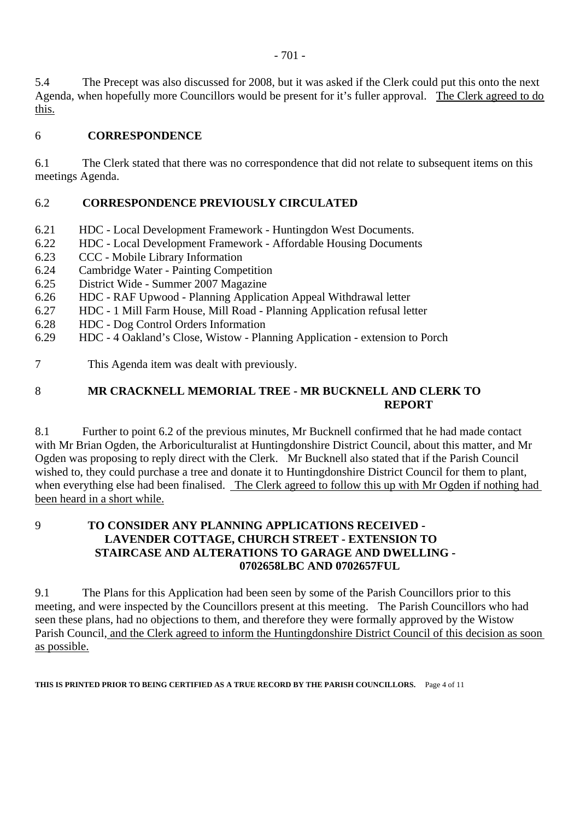5.4 The Precept was also discussed for 2008, but it was asked if the Clerk could put this onto the next Agenda, when hopefully more Councillors would be present for it's fuller approval. The Clerk agreed to do this.

#### 6 **CORRESPONDENCE**

6.1 The Clerk stated that there was no correspondence that did not relate to subsequent items on this meetings Agenda.

## 6.2 **CORRESPONDENCE PREVIOUSLY CIRCULATED**

- 6.21 HDC Local Development Framework Huntingdon West Documents.
- 6.22 HDC Local Development Framework Affordable Housing Documents
- 6.23 CCC Mobile Library Information
- 6.24 Cambridge Water Painting Competition
- 6.25 District Wide Summer 2007 Magazine
- 6.26 HDC RAF Upwood Planning Application Appeal Withdrawal letter
- 6.27 HDC 1 Mill Farm House, Mill Road Planning Application refusal letter
- 6.28 HDC Dog Control Orders Information
- 6.29 HDC 4 Oakland's Close, Wistow Planning Application extension to Porch
- 7 This Agenda item was dealt with previously.

# 8 **MR CRACKNELL MEMORIAL TREE - MR BUCKNELL AND CLERK TO REPORT**

8.1 Further to point 6.2 of the previous minutes, Mr Bucknell confirmed that he had made contact with Mr Brian Ogden, the Arboriculturalist at Huntingdonshire District Council, about this matter, and Mr Ogden was proposing to reply direct with the Clerk. Mr Bucknell also stated that if the Parish Council wished to, they could purchase a tree and donate it to Huntingdonshire District Council for them to plant, when everything else had been finalised. The Clerk agreed to follow this up with Mr Ogden if nothing had been heard in a short while.

#### 9 **TO CONSIDER ANY PLANNING APPLICATIONS RECEIVED - LAVENDER COTTAGE, CHURCH STREET - EXTENSION TO STAIRCASE AND ALTERATIONS TO GARAGE AND DWELLING - 0702658LBC AND 0702657FUL**

9.1 The Plans for this Application had been seen by some of the Parish Councillors prior to this meeting, and were inspected by the Councillors present at this meeting. The Parish Councillors who had seen these plans, had no objections to them, and therefore they were formally approved by the Wistow Parish Council, and the Clerk agreed to inform the Huntingdonshire District Council of this decision as soon as possible.

**THIS IS PRINTED PRIOR TO BEING CERTIFIED AS A TRUE RECORD BY THE PARISH COUNCILLORS.** Page 4 of 11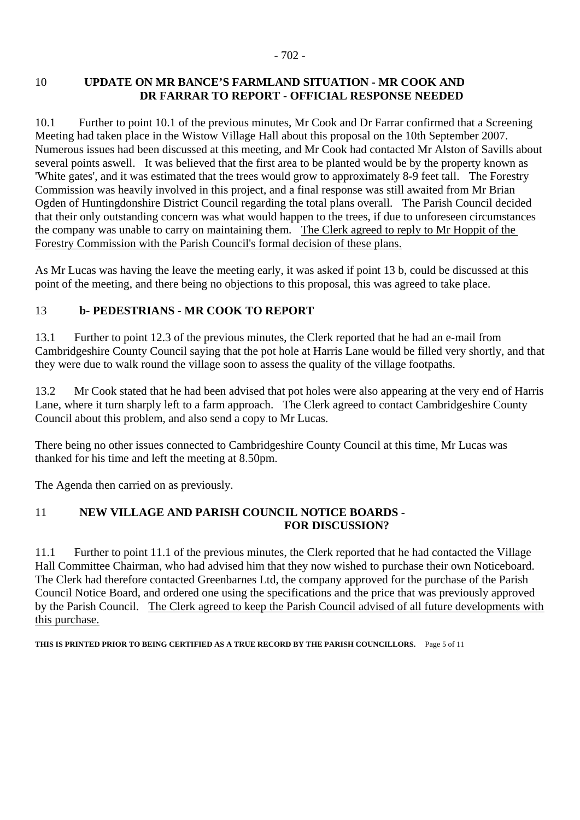#### 10 **UPDATE ON MR BANCE'S FARMLAND SITUATION - MR COOK AND DR FARRAR TO REPORT - OFFICIAL RESPONSE NEEDED**

10.1 Further to point 10.1 of the previous minutes, Mr Cook and Dr Farrar confirmed that a Screening Meeting had taken place in the Wistow Village Hall about this proposal on the 10th September 2007. Numerous issues had been discussed at this meeting, and Mr Cook had contacted Mr Alston of Savills about several points aswell. It was believed that the first area to be planted would be by the property known as 'White gates', and it was estimated that the trees would grow to approximately 8-9 feet tall. The Forestry Commission was heavily involved in this project, and a final response was still awaited from Mr Brian Ogden of Huntingdonshire District Council regarding the total plans overall. The Parish Council decided that their only outstanding concern was what would happen to the trees, if due to unforeseen circumstances the company was unable to carry on maintaining them. The Clerk agreed to reply to Mr Hoppit of the Forestry Commission with the Parish Council's formal decision of these plans.

As Mr Lucas was having the leave the meeting early, it was asked if point 13 b, could be discussed at this point of the meeting, and there being no objections to this proposal, this was agreed to take place.

## 13 **b- PEDESTRIANS - MR COOK TO REPORT**

13.1 Further to point 12.3 of the previous minutes, the Clerk reported that he had an e-mail from Cambridgeshire County Council saying that the pot hole at Harris Lane would be filled very shortly, and that they were due to walk round the village soon to assess the quality of the village footpaths.

13.2 Mr Cook stated that he had been advised that pot holes were also appearing at the very end of Harris Lane, where it turn sharply left to a farm approach. The Clerk agreed to contact Cambridgeshire County Council about this problem, and also send a copy to Mr Lucas.

There being no other issues connected to Cambridgeshire County Council at this time, Mr Lucas was thanked for his time and left the meeting at 8.50pm.

The Agenda then carried on as previously.

## 11 **NEW VILLAGE AND PARISH COUNCIL NOTICE BOARDS - FOR DISCUSSION?**

11.1 Further to point 11.1 of the previous minutes, the Clerk reported that he had contacted the Village Hall Committee Chairman, who had advised him that they now wished to purchase their own Noticeboard. The Clerk had therefore contacted Greenbarnes Ltd, the company approved for the purchase of the Parish Council Notice Board, and ordered one using the specifications and the price that was previously approved by the Parish Council. The Clerk agreed to keep the Parish Council advised of all future developments with this purchase.

**THIS IS PRINTED PRIOR TO BEING CERTIFIED AS A TRUE RECORD BY THE PARISH COUNCILLORS.** Page 5 of 11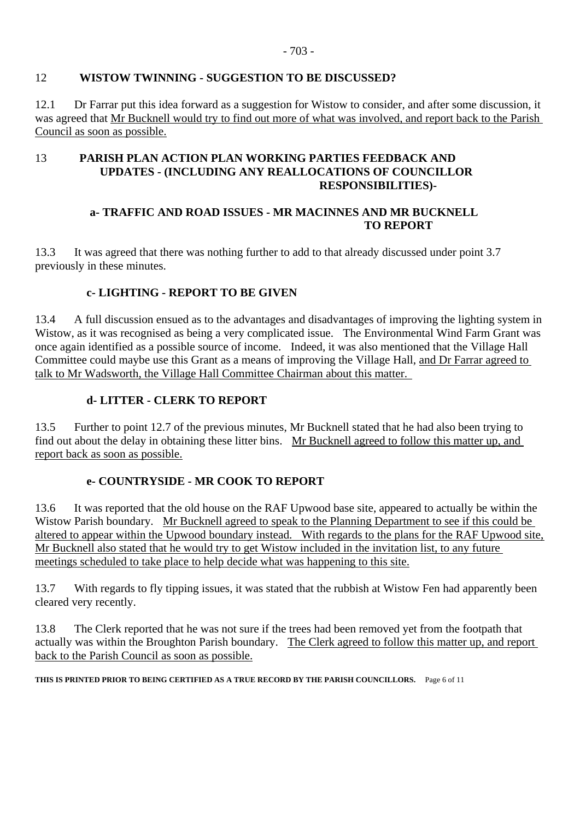#### 12 **WISTOW TWINNING - SUGGESTION TO BE DISCUSSED?**

12.1 Dr Farrar put this idea forward as a suggestion for Wistow to consider, and after some discussion, it was agreed that Mr Bucknell would try to find out more of what was involved, and report back to the Parish Council as soon as possible.

#### 13 **PARISH PLAN ACTION PLAN WORKING PARTIES FEEDBACK AND UPDATES - (INCLUDING ANY REALLOCATIONS OF COUNCILLOR RESPONSIBILITIES)-**

#### **a- TRAFFIC AND ROAD ISSUES - MR MACINNES AND MR BUCKNELL TO REPORT**

13.3 It was agreed that there was nothing further to add to that already discussed under point 3.7 previously in these minutes.

## **c- LIGHTING - REPORT TO BE GIVEN**

13.4 A full discussion ensued as to the advantages and disadvantages of improving the lighting system in Wistow, as it was recognised as being a very complicated issue. The Environmental Wind Farm Grant was once again identified as a possible source of income. Indeed, it was also mentioned that the Village Hall Committee could maybe use this Grant as a means of improving the Village Hall, and Dr Farrar agreed to talk to Mr Wadsworth, the Village Hall Committee Chairman about this matter.

## **d- LITTER - CLERK TO REPORT**

13.5 Further to point 12.7 of the previous minutes, Mr Bucknell stated that he had also been trying to find out about the delay in obtaining these litter bins. Mr Bucknell agreed to follow this matter up, and report back as soon as possible.

#### **e- COUNTRYSIDE - MR COOK TO REPORT**

13.6 It was reported that the old house on the RAF Upwood base site, appeared to actually be within the Wistow Parish boundary. Mr Bucknell agreed to speak to the Planning Department to see if this could be altered to appear within the Upwood boundary instead. With regards to the plans for the RAF Upwood site, Mr Bucknell also stated that he would try to get Wistow included in the invitation list, to any future meetings scheduled to take place to help decide what was happening to this site.

13.7 With regards to fly tipping issues, it was stated that the rubbish at Wistow Fen had apparently been cleared very recently.

13.8 The Clerk reported that he was not sure if the trees had been removed yet from the footpath that actually was within the Broughton Parish boundary. The Clerk agreed to follow this matter up, and report back to the Parish Council as soon as possible.

**THIS IS PRINTED PRIOR TO BEING CERTIFIED AS A TRUE RECORD BY THE PARISH COUNCILLORS.** Page 6 of 11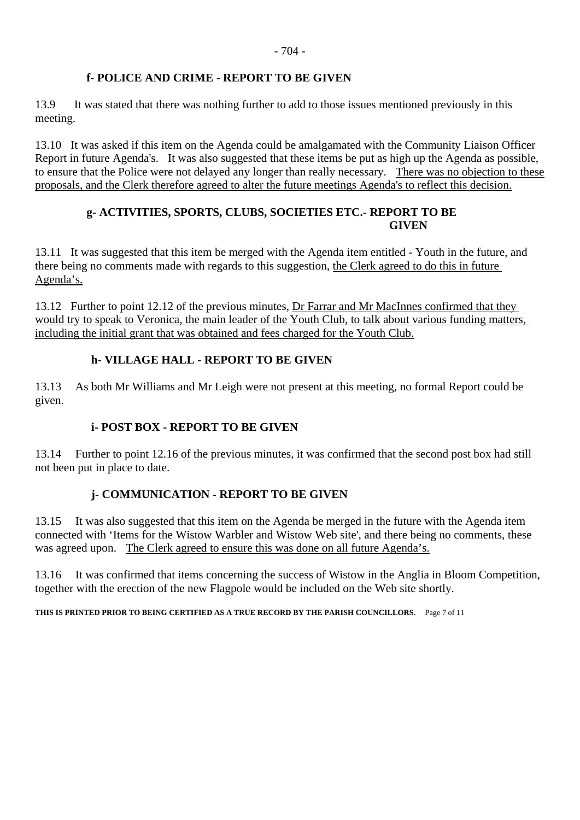#### **f- POLICE AND CRIME - REPORT TO BE GIVEN**

13.9 It was stated that there was nothing further to add to those issues mentioned previously in this meeting.

13.10 It was asked if this item on the Agenda could be amalgamated with the Community Liaison Officer Report in future Agenda's. It was also suggested that these items be put as high up the Agenda as possible, to ensure that the Police were not delayed any longer than really necessary. There was no objection to these proposals, and the Clerk therefore agreed to alter the future meetings Agenda's to reflect this decision.

#### **g- ACTIVITIES, SPORTS, CLUBS, SOCIETIES ETC.- REPORT TO BE GIVEN**

13.11 It was suggested that this item be merged with the Agenda item entitled - Youth in the future, and there being no comments made with regards to this suggestion, the Clerk agreed to do this in future Agenda's.

13.12 Further to point 12.12 of the previous minutes, Dr Farrar and Mr MacInnes confirmed that they would try to speak to Veronica, the main leader of the Youth Club, to talk about various funding matters, including the initial grant that was obtained and fees charged for the Youth Club.

#### **h- VILLAGE HALL - REPORT TO BE GIVEN**

13.13 As both Mr Williams and Mr Leigh were not present at this meeting, no formal Report could be given.

#### **i- POST BOX - REPORT TO BE GIVEN**

13.14 Further to point 12.16 of the previous minutes, it was confirmed that the second post box had still not been put in place to date.

#### **j- COMMUNICATION - REPORT TO BE GIVEN**

13.15 It was also suggested that this item on the Agenda be merged in the future with the Agenda item connected with 'Items for the Wistow Warbler and Wistow Web site', and there being no comments, these was agreed upon. The Clerk agreed to ensure this was done on all future Agenda's.

13.16 It was confirmed that items concerning the success of Wistow in the Anglia in Bloom Competition, together with the erection of the new Flagpole would be included on the Web site shortly.

**THIS IS PRINTED PRIOR TO BEING CERTIFIED AS A TRUE RECORD BY THE PARISH COUNCILLORS.** Page 7 of 11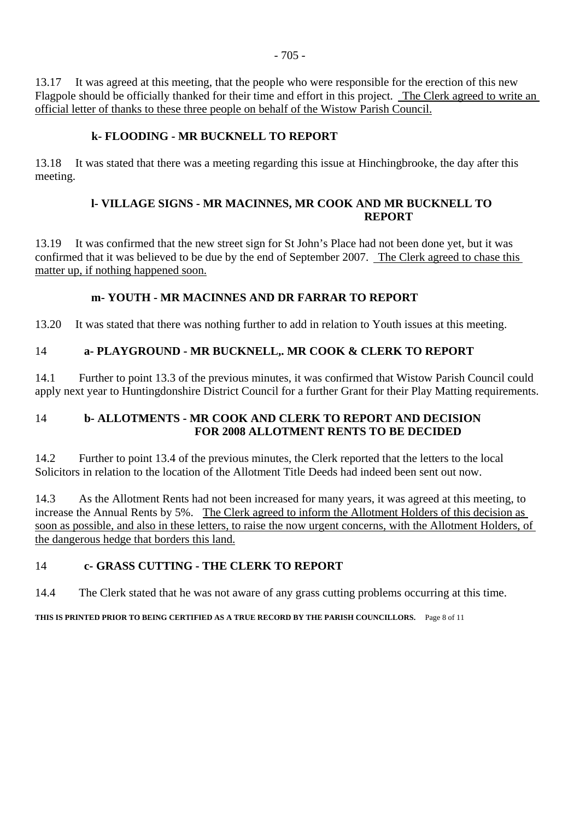13.17 It was agreed at this meeting, that the people who were responsible for the erection of this new Flagpole should be officially thanked for their time and effort in this project. The Clerk agreed to write an official letter of thanks to these three people on behalf of the Wistow Parish Council.

#### **k- FLOODING - MR BUCKNELL TO REPORT**

13.18 It was stated that there was a meeting regarding this issue at Hinchingbrooke, the day after this meeting.

#### **l- VILLAGE SIGNS - MR MACINNES, MR COOK AND MR BUCKNELL TO REPORT**

13.19 It was confirmed that the new street sign for St John's Place had not been done yet, but it was confirmed that it was believed to be due by the end of September 2007. The Clerk agreed to chase this matter up, if nothing happened soon.

## **m- YOUTH - MR MACINNES AND DR FARRAR TO REPORT**

13.20 It was stated that there was nothing further to add in relation to Youth issues at this meeting.

## 14 **a- PLAYGROUND - MR BUCKNELL,. MR COOK & CLERK TO REPORT**

14.1 Further to point 13.3 of the previous minutes, it was confirmed that Wistow Parish Council could apply next year to Huntingdonshire District Council for a further Grant for their Play Matting requirements.

## 14 **b- ALLOTMENTS - MR COOK AND CLERK TO REPORT AND DECISION FOR 2008 ALLOTMENT RENTS TO BE DECIDED**

14.2 Further to point 13.4 of the previous minutes, the Clerk reported that the letters to the local Solicitors in relation to the location of the Allotment Title Deeds had indeed been sent out now.

14.3 As the Allotment Rents had not been increased for many years, it was agreed at this meeting, to increase the Annual Rents by 5%. The Clerk agreed to inform the Allotment Holders of this decision as soon as possible, and also in these letters, to raise the now urgent concerns, with the Allotment Holders, of the dangerous hedge that borders this land.

#### 14 **c- GRASS CUTTING - THE CLERK TO REPORT**

14.4 The Clerk stated that he was not aware of any grass cutting problems occurring at this time.

**THIS IS PRINTED PRIOR TO BEING CERTIFIED AS A TRUE RECORD BY THE PARISH COUNCILLORS.** Page 8 of 11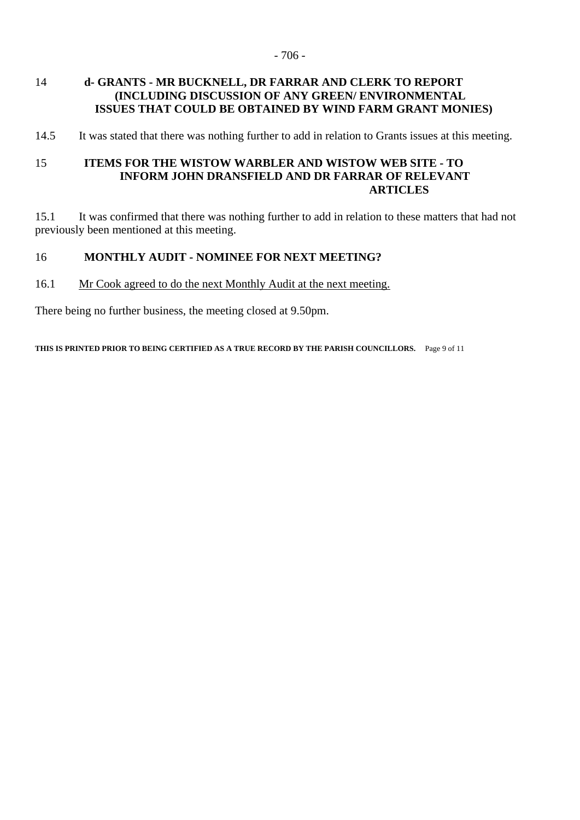#### 14 **d- GRANTS - MR BUCKNELL, DR FARRAR AND CLERK TO REPORT (INCLUDING DISCUSSION OF ANY GREEN/ ENVIRONMENTAL ISSUES THAT COULD BE OBTAINED BY WIND FARM GRANT MONIES)**

14.5 It was stated that there was nothing further to add in relation to Grants issues at this meeting.

#### 15 **ITEMS FOR THE WISTOW WARBLER AND WISTOW WEB SITE - TO INFORM JOHN DRANSFIELD AND DR FARRAR OF RELEVANT ARTICLES**

15.1 It was confirmed that there was nothing further to add in relation to these matters that had not previously been mentioned at this meeting.

#### 16 **MONTHLY AUDIT - NOMINEE FOR NEXT MEETING?**

#### 16.1 Mr Cook agreed to do the next Monthly Audit at the next meeting.

There being no further business, the meeting closed at 9.50pm.

**THIS IS PRINTED PRIOR TO BEING CERTIFIED AS A TRUE RECORD BY THE PARISH COUNCILLORS.** Page 9 of 11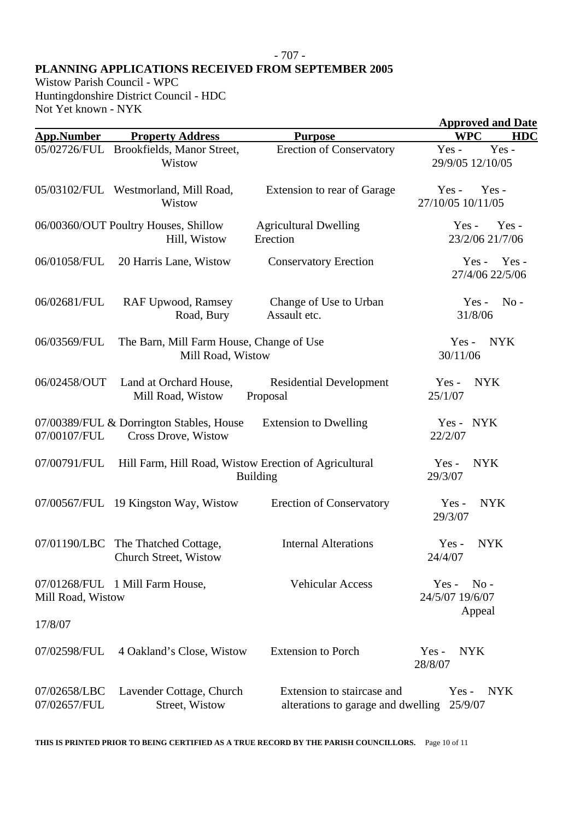#### - 707 -

#### **PLANNING APPLICATIONS RECEIVED FROM SEPTEMBER 2005**

Wistow Parish Council - WPC Huntingdonshire District Council - HDC Not Yet known - NYK

|                              |                                                                 |                                                                  | <b>Approved and Date</b>             |  |
|------------------------------|-----------------------------------------------------------------|------------------------------------------------------------------|--------------------------------------|--|
| <b>App.Number</b>            | <b>Property Address</b>                                         | <b>Purpose</b>                                                   | <b>WPC</b><br><b>HDC</b>             |  |
|                              | 05/02726/FUL Brookfields, Manor Street,<br>Wistow               | <b>Erection of Conservatory</b>                                  | Yes-<br>$Yes -$<br>29/9/05 12/10/05  |  |
|                              | 05/03102/FUL Westmorland, Mill Road,<br>Wistow                  | Extension to rear of Garage                                      | $Yes -$<br>Yes-<br>27/10/05 10/11/05 |  |
|                              | 06/00360/OUT Poultry Houses, Shillow<br>Hill, Wistow            | <b>Agricultural Dwelling</b><br>Erection                         | Yes-<br>$Yes -$<br>23/2/06 21/7/06   |  |
| 06/01058/FUL                 | 20 Harris Lane, Wistow                                          | <b>Conservatory Erection</b>                                     | Yes -<br>$Yes -$<br>27/4/06 22/5/06  |  |
| 06/02681/FUL                 | <b>RAF Upwood, Ramsey</b><br>Road, Bury                         | Change of Use to Urban<br>Assault etc.                           | $No -$<br>$Yes -$<br>31/8/06         |  |
| 06/03569/FUL                 | The Barn, Mill Farm House, Change of Use<br>Mill Road, Wistow   |                                                                  | <b>NYK</b><br>$Yes -$<br>30/11/06    |  |
| 06/02458/OUT                 | Land at Orchard House,<br>Mill Road, Wistow                     | <b>Residential Development</b><br>Proposal                       | <b>NYK</b><br>$Yes -$<br>25/1/07     |  |
| 07/00107/FUL                 | 07/00389/FUL & Dorrington Stables, House<br>Cross Drove, Wistow | <b>Extension to Dwelling</b>                                     | Yes - NYK<br>22/2/07                 |  |
| 07/00791/FUL                 | Hill Farm, Hill Road, Wistow Erection of Agricultural           | <b>Building</b>                                                  | <b>NYK</b><br>$Yes -$<br>29/3/07     |  |
|                              | 07/00567/FUL 19 Kingston Way, Wistow                            | <b>Erection of Conservatory</b>                                  | <b>NYK</b><br>Yes-<br>29/3/07        |  |
|                              | 07/01190/LBC The Thatched Cottage,<br>Church Street, Wistow     | <b>Internal Alterations</b>                                      | <b>NYK</b><br>$Yes -$<br>24/4/07     |  |
| Mill Road, Wistow            | 07/01268/FUL 1 Mill Farm House,                                 | <b>Vehicular Access</b>                                          | $Yes -$<br>$No -$<br>24/5/07 19/6/07 |  |
| 17/8/07                      |                                                                 |                                                                  | Appeal                               |  |
| 07/02598/FUL                 | 4 Oakland's Close, Wistow                                       | <b>Extension to Porch</b>                                        | <b>NYK</b><br>$Yes -$<br>28/8/07     |  |
| 07/02658/LBC<br>07/02657/FUL | Lavender Cottage, Church<br>Street, Wistow                      | Extension to staircase and<br>alterations to garage and dwelling | <b>NYK</b><br>$Yes -$<br>25/9/07     |  |

**THIS IS PRINTED PRIOR TO BEING CERTIFIED AS A TRUE RECORD BY THE PARISH COUNCILLORS.** Page 10 of 11